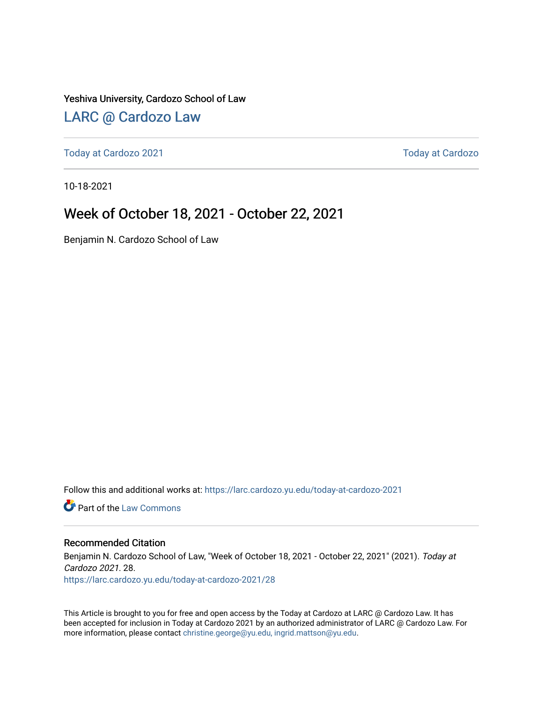#### Yeshiva University, Cardozo School of Law

### [LARC @ Cardozo Law](https://larc.cardozo.yu.edu/)

[Today at Cardozo 2021](https://larc.cardozo.yu.edu/today-at-cardozo-2021) **Today at Cardozo** 2021

10-18-2021

#### Week of October 18, 2021 - October 22, 2021

Benjamin N. Cardozo School of Law

Follow this and additional works at: [https://larc.cardozo.yu.edu/today-at-cardozo-2021](https://larc.cardozo.yu.edu/today-at-cardozo-2021?utm_source=larc.cardozo.yu.edu%2Ftoday-at-cardozo-2021%2F28&utm_medium=PDF&utm_campaign=PDFCoverPages)

**C** Part of the [Law Commons](http://network.bepress.com/hgg/discipline/578?utm_source=larc.cardozo.yu.edu%2Ftoday-at-cardozo-2021%2F28&utm_medium=PDF&utm_campaign=PDFCoverPages)

#### Recommended Citation

Benjamin N. Cardozo School of Law, "Week of October 18, 2021 - October 22, 2021" (2021). Today at Cardozo 2021. 28. [https://larc.cardozo.yu.edu/today-at-cardozo-2021/28](https://larc.cardozo.yu.edu/today-at-cardozo-2021/28?utm_source=larc.cardozo.yu.edu%2Ftoday-at-cardozo-2021%2F28&utm_medium=PDF&utm_campaign=PDFCoverPages) 

This Article is brought to you for free and open access by the Today at Cardozo at LARC @ Cardozo Law. It has been accepted for inclusion in Today at Cardozo 2021 by an authorized administrator of LARC @ Cardozo Law. For more information, please contact [christine.george@yu.edu, ingrid.mattson@yu.edu](mailto:christine.george@yu.edu,%20ingrid.mattson@yu.edu).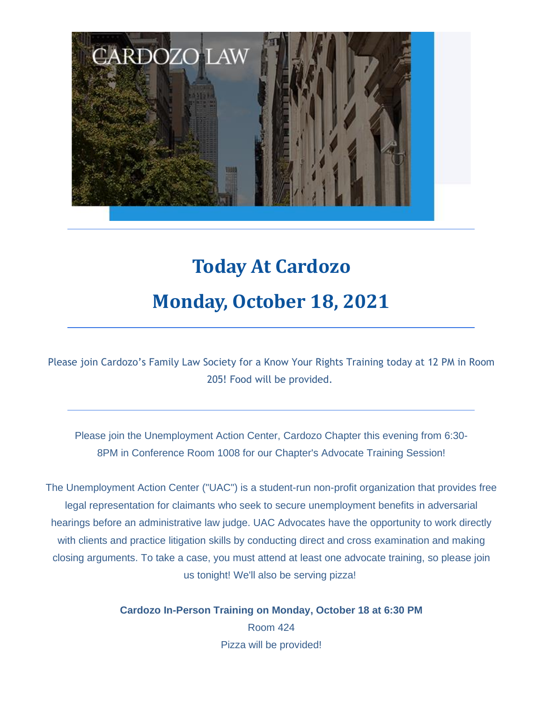

# **Today At Cardozo Monday, October 18, 2021**

Please join Cardozo's Family Law Society for a Know Your Rights Training today at 12 PM in Room 205! Food will be provided.

Please join the Unemployment Action Center, Cardozo Chapter this evening from 6:30- 8PM in Conference Room 1008 for our Chapter's Advocate Training Session!

The Unemployment Action Center ("UAC") is a student-run non-profit organization that provides free legal representation for claimants who seek to secure unemployment benefits in adversarial hearings before an administrative law judge. UAC Advocates have the opportunity to work directly with clients and practice litigation skills by conducting direct and cross examination and making closing arguments. To take a case, you must attend at least one advocate training, so please join us tonight! We'll also be serving pizza!

> **Cardozo In-Person Training on Monday, October 18 at 6:30 PM** Room 424 Pizza will be provided!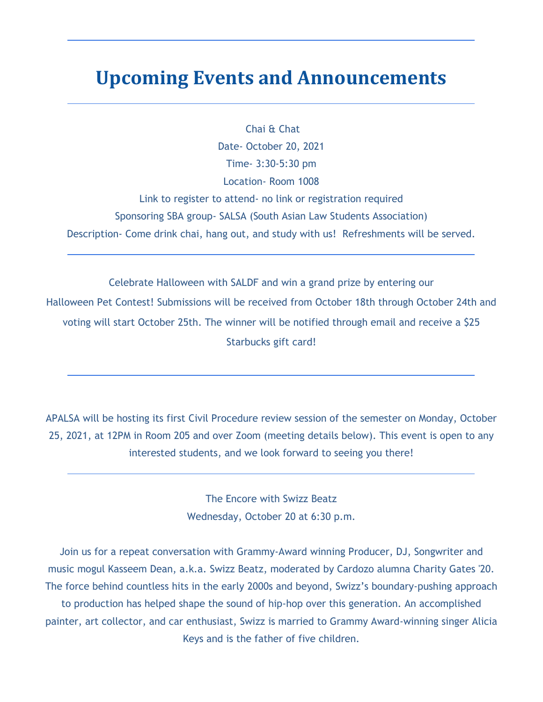### **Upcoming Events and Announcements**

Chai & Chat Date- October 20, 2021 Time- 3:30-5:30 pm Location- Room 1008

Link to register to attend- no link or registration required Sponsoring SBA group- SALSA (South Asian Law Students Association) Description- Come drink chai, hang out, and study with us! Refreshments will be served.

Celebrate Halloween with SALDF and win a grand prize by entering our Halloween Pet Contest! Submissions will be received from October 18th through October 24th and voting will start October 25th. The winner will be notified through email and receive a \$25 Starbucks gift card!

APALSA will be hosting its first Civil Procedure review session of the semester on Monday, October 25, 2021, at 12PM in Room 205 and over Zoom (meeting details below). This event is open to any interested students, and we look forward to seeing you there!

> The Encore with Swizz Beatz Wednesday, October 20 at 6:30 p.m.

Join us for a repeat conversation with Grammy-Award winning Producer, DJ, Songwriter and music mogul Kasseem Dean, a.k.a. Swizz Beatz, moderated by Cardozo alumna Charity Gates '20. The force behind countless hits in the early 2000s and beyond, Swizz's boundary-pushing approach to production has helped shape the sound of hip-hop over this generation. An accomplished painter, art collector, and car enthusiast, Swizz is married to Grammy Award-winning singer Alicia Keys and is the father of five children.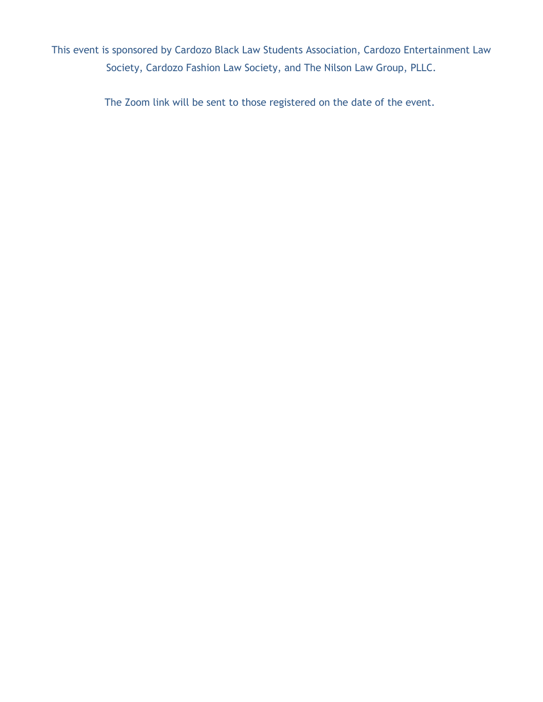This event is sponsored by Cardozo Black Law Students Association, Cardozo Entertainment Law Society, Cardozo Fashion Law Society, and The Nilson Law Group, PLLC.

The Zoom link will be sent to those registered on the date of the event.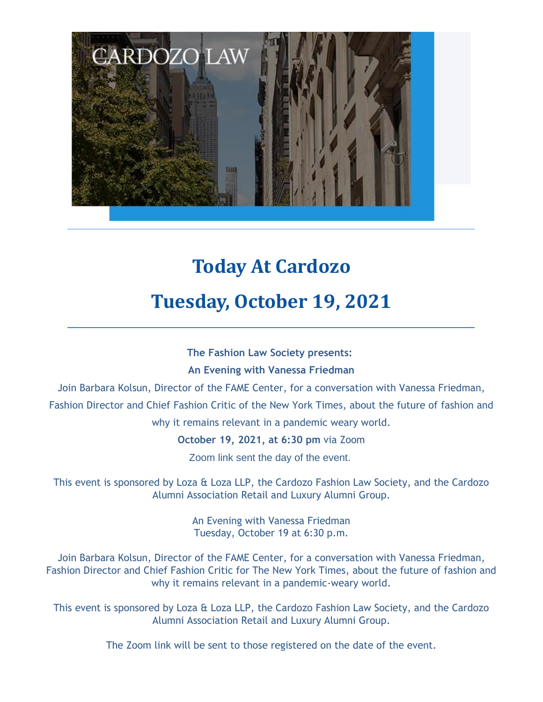

# **Today At Cardozo Tuesday, October 19, 2021**

### **The Fashion Law Society presents: An Evening with Vanessa Friedman**

Join Barbara Kolsun, Director of the FAME Center, for a conversation with Vanessa Friedman, Fashion Director and Chief Fashion Critic of the New York Times, about the future of fashion and

why it remains relevant in a pandemic weary world.

**October 19, 2021, at 6:30 pm** via Zoom

Zoom link sent the day of the event.

This event is sponsored by Loza & Loza LLP, the Cardozo Fashion Law Society, and the Cardozo Alumni Association Retail and Luxury Alumni Group.

> An Evening with Vanessa Friedman Tuesday, October 19 at 6:30 p.m.

Join Barbara Kolsun, Director of the FAME Center, for a conversation with Vanessa Friedman, Fashion Director and Chief Fashion Critic for The New York Times, about the future of fashion and why it remains relevant in a pandemic-weary world.

This event is sponsored by Loza & Loza LLP, the Cardozo Fashion Law Society, and the Cardozo Alumni Association Retail and Luxury Alumni Group.

The Zoom link will be sent to those registered on the date of the event.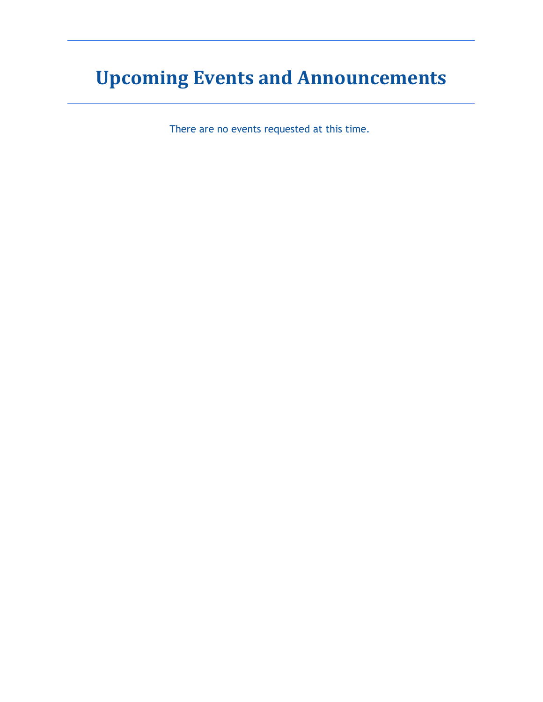# **Upcoming Events and Announcements**

There are no events requested at this time.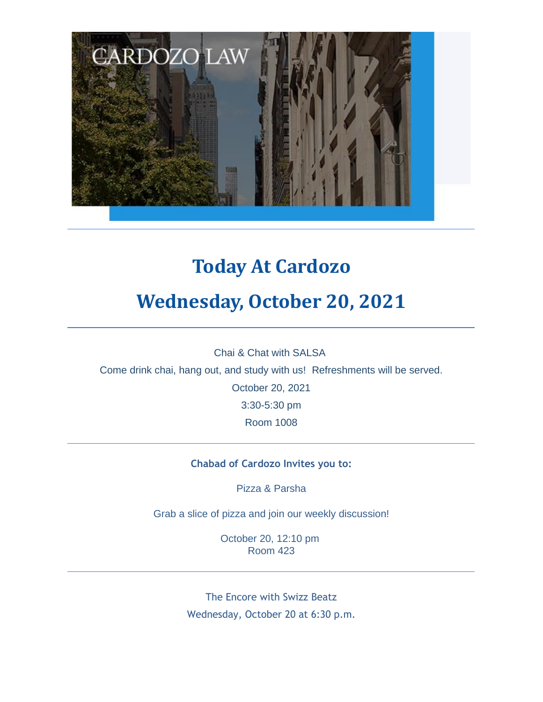

## **Today At Cardozo**

## **Wednesday, October 20, 2021**

Chai & Chat with SALSA

Come drink chai, hang out, and study with us! Refreshments will be served.

October 20, 2021 3:30-5:30 pm

Room 1008

#### **Chabad of Cardozo Invites you to:**

Pizza & Parsha

Grab a slice of pizza and join our weekly discussion!

October 20, 12:10 pm Room 423

The Encore with Swizz Beatz Wednesday, October 20 at 6:30 p.m.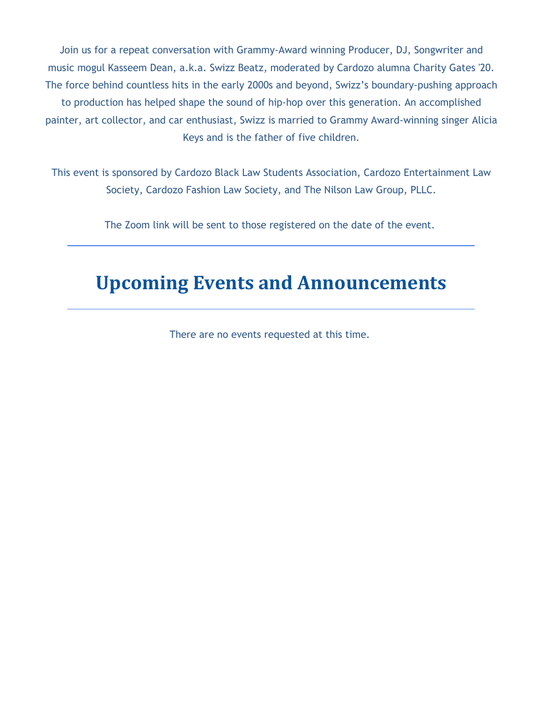Join us for a repeat conversation with Grammy-Award winning Producer, DJ, Songwriter and music mogul Kasseem Dean, a.k.a. Swizz Beatz, moderated by Cardozo alumna Charity Gates '20. The force behind countless hits in the early 2000s and beyond, Swizz's boundary-pushing approach to production has helped shape the sound of hip-hop over this generation. An accomplished painter, art collector, and car enthusiast, Swizz is married to Grammy Award-winning singer Alicia Keys and is the father of five children.

This event is sponsored by Cardozo Black Law Students Association, Cardozo Entertainment Law Society, Cardozo Fashion Law Society, and The Nilson Law Group, PLLC.

The Zoom link will be sent to those registered on the date of the event.

### **Upcoming Events and Announcements**

There are no events requested at this time.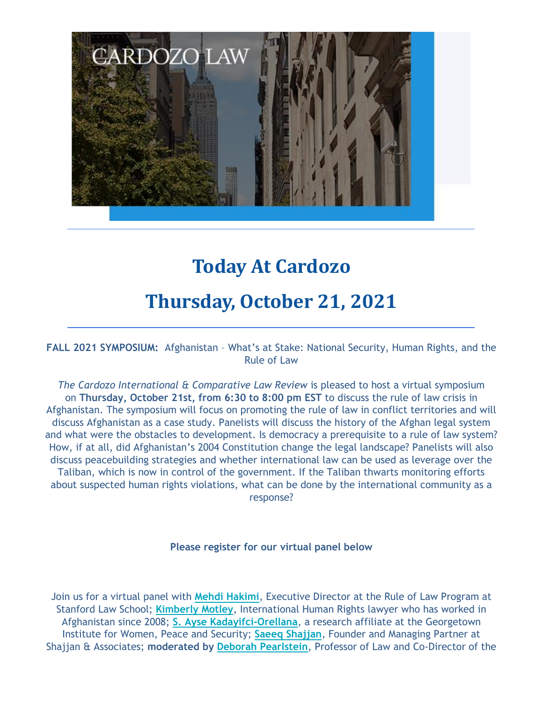

### **Today At Cardozo**

### **Thursday, October 21, 2021**

**FALL 2021 SYMPOSIUM:** Afghanistan – What's at Stake: National Security, Human Rights, and the Rule of Law

*The Cardozo International & Comparative Law Review* is pleased to host a virtual symposium on **Thursday, October 21st, from 6:30 to 8:00 pm EST** to discuss the rule of law crisis in Afghanistan. The symposium will focus on promoting the rule of law in conflict territories and will discuss Afghanistan as a case study. Panelists will discuss the history of the Afghan legal system and what were the obstacles to development. Is democracy a prerequisite to a rule of law system? How, if at all, did Afghanistan's 2004 Constitution change the legal landscape? Panelists will also discuss peacebuilding strategies and whether international law can be used as leverage over the Taliban, which is now in control of the government. If the Taliban thwarts monitoring efforts about suspected human rights violations, what can be done by the international community as a response?

#### **Please register for our virtual panel below**

Join us for a virtual panel with **Mehdi Hakimi**, Executive Director at the Rule of Law Program at Stanford Law School; **Kimberly Motley**, International Human Rights lawyer who has worked in Afghanistan since 2008; **S. Ayse Kadayifci-Orellana**, a research affiliate at the Georgetown Institute for Women, Peace and Security; **Saeeq Shajjan**, Founder and Managing Partner at Shajjan & Associates; **moderated by Deborah Pearlstein**, Professor of Law and Co-Director of the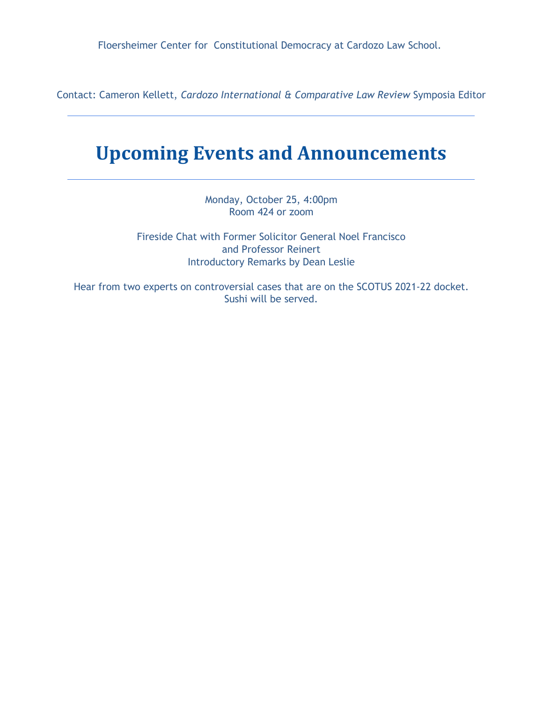Floersheimer Center for Constitutional Democracy at Cardozo Law School.

Contact: Cameron Kellett, *Cardozo International & Comparative Law Review* Symposia Editor

### **Upcoming Events and Announcements**

Monday, October 25, 4:00pm Room 424 or zoom

Fireside Chat with Former Solicitor General Noel Francisco and Professor Reinert Introductory Remarks by Dean Leslie

Hear from two experts on controversial cases that are on the SCOTUS 2021-22 docket. Sushi will be served.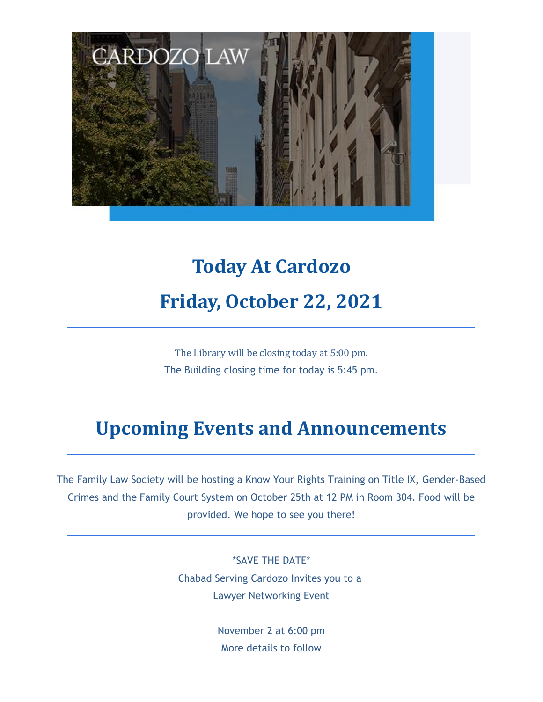

# **Today At Cardozo Friday, October 22, 2021**

The Library will be closing today at 5:00 pm. The Building closing time for today is 5:45 pm.

## **Upcoming Events and Announcements**

The Family Law Society will be hosting a Know Your Rights Training on Title IX, Gender-Based Crimes and the Family Court System on October 25th at 12 PM in Room 304. Food will be provided. We hope to see you there!

> \*SAVE THE DATE\* Chabad Serving Cardozo Invites you to a Lawyer Networking Event

> > November 2 at 6:00 pm More details to follow